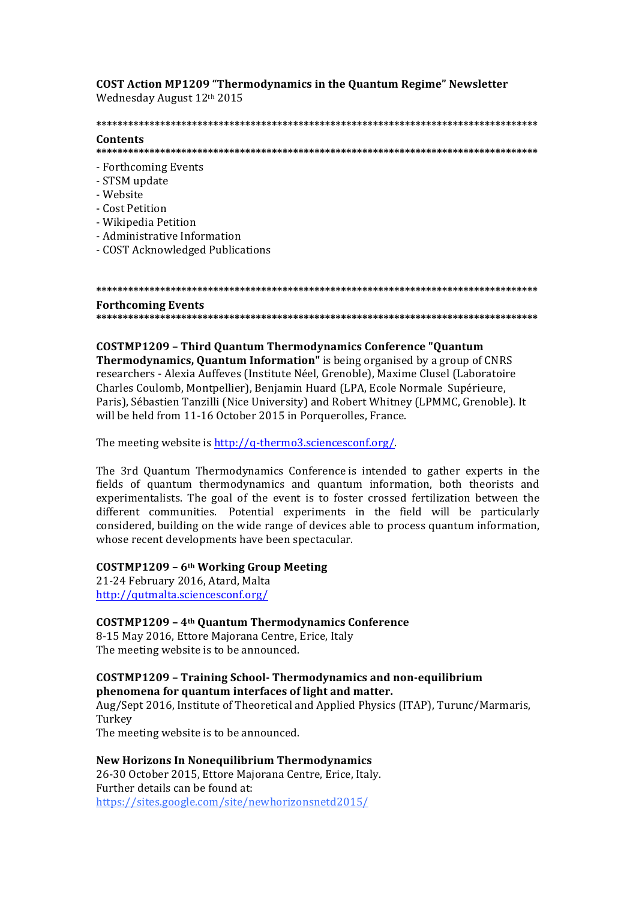**COST Action MP1209 "Thermodynamics in the Quantum Regime" Newsletter** Wednesday August 12th 2015

## **\*\*\*\*\*\*\*\*\*\*\*\*\*\*\*\*\*\*\*\*\*\*\*\*\*\*\*\*\*\*\*\*\*\*\*\*\*\*\*\*\*\*\*\*\*\*\*\*\*\*\*\*\*\*\*\*\*\*\*\*\*\*\*\*\*\*\*\*\*\*\*\*\*\*\*\*\*\*\*\*\*\*\***

### **Contents**

**\*\*\*\*\*\*\*\*\*\*\*\*\*\*\*\*\*\*\*\*\*\*\*\*\*\*\*\*\*\*\*\*\*\*\*\*\*\*\*\*\*\*\*\*\*\*\*\*\*\*\*\*\*\*\*\*\*\*\*\*\*\*\*\*\*\*\*\*\*\*\*\*\*\*\*\*\*\*\*\*\*\*\***

- Forthcoming Events
- STSM update
- Website
- Cost Petition
- Wikipedia Petition
- Administrative Information
- COST Acknowledged Publications

### **\*\*\*\*\*\*\*\*\*\*\*\*\*\*\*\*\*\*\*\*\*\*\*\*\*\*\*\*\*\*\*\*\*\*\*\*\*\*\*\*\*\*\*\*\*\*\*\*\*\*\*\*\*\*\*\*\*\*\*\*\*\*\*\*\*\*\*\*\*\*\*\*\*\*\*\*\*\*\*\*\*\*\* Forthcoming Events \*\*\*\*\*\*\*\*\*\*\*\*\*\*\*\*\*\*\*\*\*\*\*\*\*\*\*\*\*\*\*\*\*\*\*\*\*\*\*\*\*\*\*\*\*\*\*\*\*\*\*\*\*\*\*\*\*\*\*\*\*\*\*\*\*\*\*\*\*\*\*\*\*\*\*\*\*\*\*\*\*\*\***

## **COSTMP1209 – Third Quantum Thermodynamics Conference "Quantum**

**Thermodynamics, Quantum Information"** is being organised by a group of CNRS researchers - Alexia Auffeves (Institute Néel, Grenoble), Maxime Clusel (Laboratoire Charles Coulomb, Montpellier), Benjamin Huard (LPA, Ecole Normale Supérieure, Paris), Sébastien Tanzilli (Nice University) and Robert Whitney (LPMMC, Grenoble). It will be held from 11-16 October 2015 in Porquerolles, France.

The meeting website is  $\frac{http://q-thermo3.sciencesconfig/}{$ .

The 3rd Quantum Thermodynamics Conference is intended to gather experts in the fields of quantum thermodynamics and quantum information, both theorists and experimentalists. The goal of the event is to foster crossed fertilization between the different communities. Potential experiments in the field will be particularly considered, building on the wide range of devices able to process quantum information, whose recent developments have been spectacular.

## **COSTMP1209 – 6th Working Group Meeting**

21-24 February 2016, Atard, Malta http://qutmalta.sciencesconf.org/

## **COSTMP1209 – 4th Quantum Thermodynamics Conference**

8-15 May 2016, Ettore Majorana Centre, Erice, Italy The meeting website is to be announced.

## **COSTMP1209 – Training School- Thermodynamics and non-equilibrium**  phenomena for quantum interfaces of light and matter.

Aug/Sept 2016, Institute of Theoretical and Applied Physics (ITAP), Turunc/Marmaris, Turkey

The meeting website is to be announced.

# **New Horizons In Nonequilibrium Thermodynamics**

26-30 October 2015, Ettore Majorana Centre, Erice, Italy. Further details can be found at: https://sites.google.com/site/newhorizonsnetd2015/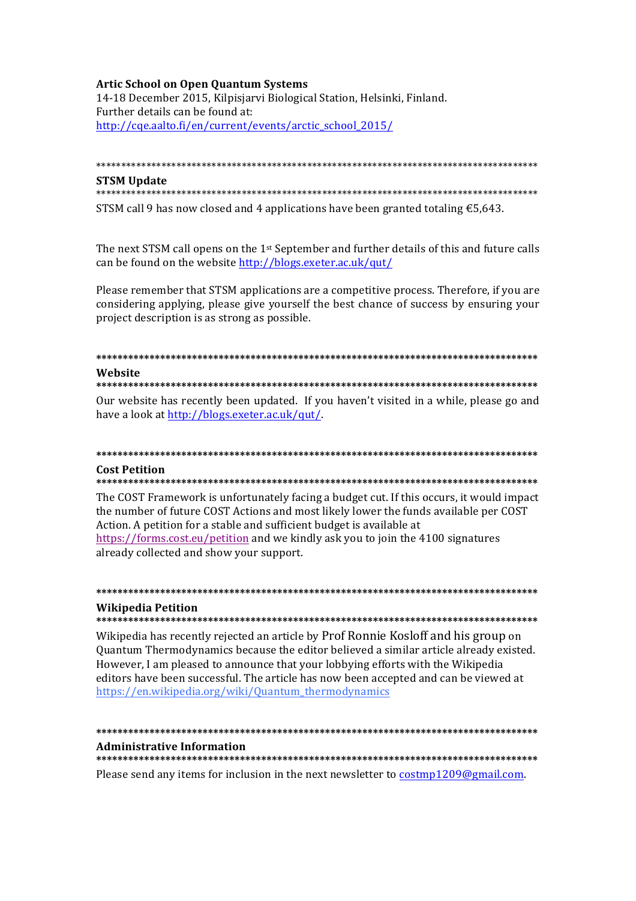## **Artic School on Open Quantum Systems**

14-18 December 2015, Kilpisjarvi Biological Station, Helsinki, Finland. Further details can be found at: http://cge.aalto.fi/en/current/events/arctic school 2015/

**STSM Undate** 

### 

STSM call 9 has now closed and 4 applications have been granted totaling  $\epsilon$ 5,643.

The next STSM call opens on the 1<sup>st</sup> September and further details of this and future calls can be found on the website http://blogs.exeter.ac.uk/qut/

Please remember that STSM applications are a competitive process. Therefore, if you are considering applying, please give yourself the best chance of success by ensuring your project description is as strong as possible.

### Website

Our website has recently been updated. If you haven't visited in a while, please go and have a look at http://blogs.exeter.ac.uk/qut/.

# **Cost Petition**

### 

The COST Framework is unfortunately facing a budget cut. If this occurs, it would impact the number of future COST Actions and most likely lower the funds available per COST Action. A petition for a stable and sufficient budget is available at https://forms.cost.eu/petition and we kindly ask you to join the 4100 signatures already collected and show your support.

# **Wikipedia Petition**

#### 

Wikipedia has recently rejected an article by Prof Ronnie Kosloff and his group on Ouantum Thermodynamics because the editor believed a similar article already existed. However, I am pleased to announce that your lobbying efforts with the Wikipedia editors have been successful. The article has now been accepted and can be viewed at https://en.wikipedia.org/wiki/Quantum\_thermodynamics

#### 

#### **Administrative Information**

Please send any items for inclusion in the next newsletter to costmp1209@gmail.com.